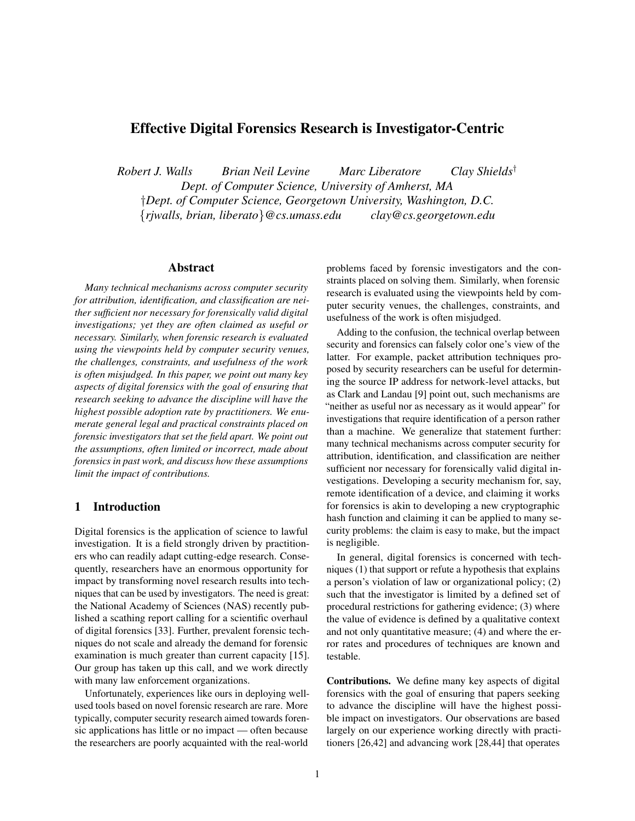# Effective Digital Forensics Research is Investigator-Centric

*Robert J. Walls Brian Neil Levine Marc Liberatore Clay Shields*† *Dept. of Computer Science, University of Amherst, MA* †*Dept. of Computer Science, Georgetown University, Washington, D.C.* {*rjwalls, brian, liberato*}*@cs.umass.edu clay@cs.georgetown.edu*

#### Abstract

*Many technical mechanisms across computer security for attribution, identification, and classification are neither sufficient nor necessary for forensically valid digital investigations; yet they are often claimed as useful or necessary. Similarly, when forensic research is evaluated using the viewpoints held by computer security venues, the challenges, constraints, and usefulness of the work is often misjudged. In this paper, we point out many key aspects of digital forensics with the goal of ensuring that research seeking to advance the discipline will have the highest possible adoption rate by practitioners. We enumerate general legal and practical constraints placed on forensic investigators that set the field apart. We point out the assumptions, often limited or incorrect, made about forensics in past work, and discuss how these assumptions limit the impact of contributions.*

### 1 Introduction

Digital forensics is the application of science to lawful investigation. It is a field strongly driven by practitioners who can readily adapt cutting-edge research. Consequently, researchers have an enormous opportunity for impact by transforming novel research results into techniques that can be used by investigators. The need is great: the National Academy of Sciences (NAS) recently published a scathing report calling for a scientific overhaul of digital forensics [33]. Further, prevalent forensic techniques do not scale and already the demand for forensic examination is much greater than current capacity [15]. Our group has taken up this call, and we work directly with many law enforcement organizations.

Unfortunately, experiences like ours in deploying wellused tools based on novel forensic research are rare. More typically, computer security research aimed towards forensic applications has little or no impact — often because the researchers are poorly acquainted with the real-world

problems faced by forensic investigators and the constraints placed on solving them. Similarly, when forensic research is evaluated using the viewpoints held by computer security venues, the challenges, constraints, and usefulness of the work is often misjudged.

Adding to the confusion, the technical overlap between security and forensics can falsely color one's view of the latter. For example, packet attribution techniques proposed by security researchers can be useful for determining the source IP address for network-level attacks, but as Clark and Landau [9] point out, such mechanisms are "neither as useful nor as necessary as it would appear" for investigations that require identification of a person rather than a machine. We generalize that statement further: many technical mechanisms across computer security for attribution, identification, and classification are neither sufficient nor necessary for forensically valid digital investigations. Developing a security mechanism for, say, remote identification of a device, and claiming it works for forensics is akin to developing a new cryptographic hash function and claiming it can be applied to many security problems: the claim is easy to make, but the impact is negligible.

In general, digital forensics is concerned with techniques (1) that support or refute a hypothesis that explains a person's violation of law or organizational policy; (2) such that the investigator is limited by a defined set of procedural restrictions for gathering evidence; (3) where the value of evidence is defined by a qualitative context and not only quantitative measure; (4) and where the error rates and procedures of techniques are known and testable.

Contributions. We define many key aspects of digital forensics with the goal of ensuring that papers seeking to advance the discipline will have the highest possible impact on investigators. Our observations are based largely on our experience working directly with practitioners [26,42] and advancing work [28,44] that operates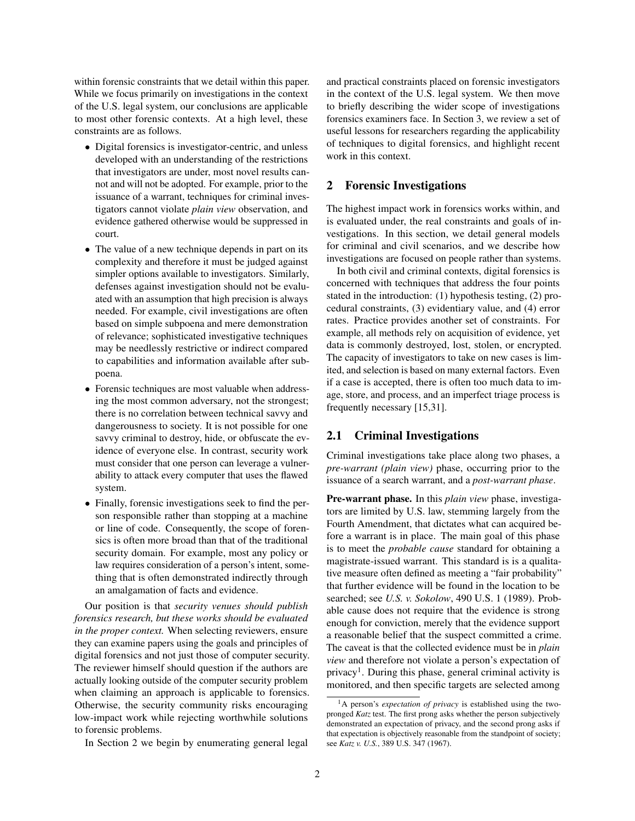within forensic constraints that we detail within this paper. While we focus primarily on investigations in the context of the U.S. legal system, our conclusions are applicable to most other forensic contexts. At a high level, these constraints are as follows.

- Digital forensics is investigator-centric, and unless developed with an understanding of the restrictions that investigators are under, most novel results cannot and will not be adopted. For example, prior to the issuance of a warrant, techniques for criminal investigators cannot violate *plain view* observation, and evidence gathered otherwise would be suppressed in court.
- The value of a new technique depends in part on its complexity and therefore it must be judged against simpler options available to investigators. Similarly, defenses against investigation should not be evaluated with an assumption that high precision is always needed. For example, civil investigations are often based on simple subpoena and mere demonstration of relevance; sophisticated investigative techniques may be needlessly restrictive or indirect compared to capabilities and information available after subpoena.
- Forensic techniques are most valuable when addressing the most common adversary, not the strongest; there is no correlation between technical savvy and dangerousness to society. It is not possible for one savvy criminal to destroy, hide, or obfuscate the evidence of everyone else. In contrast, security work must consider that one person can leverage a vulnerability to attack every computer that uses the flawed system.
- Finally, forensic investigations seek to find the person responsible rather than stopping at a machine or line of code. Consequently, the scope of forensics is often more broad than that of the traditional security domain. For example, most any policy or law requires consideration of a person's intent, something that is often demonstrated indirectly through an amalgamation of facts and evidence.

Our position is that *security venues should publish forensics research, but these works should be evaluated in the proper context.* When selecting reviewers, ensure they can examine papers using the goals and principles of digital forensics and not just those of computer security. The reviewer himself should question if the authors are actually looking outside of the computer security problem when claiming an approach is applicable to forensics. Otherwise, the security community risks encouraging low-impact work while rejecting worthwhile solutions to forensic problems.

In Section 2 we begin by enumerating general legal

and practical constraints placed on forensic investigators in the context of the U.S. legal system. We then move to briefly describing the wider scope of investigations forensics examiners face. In Section 3, we review a set of useful lessons for researchers regarding the applicability of techniques to digital forensics, and highlight recent work in this context.

### 2 Forensic Investigations

The highest impact work in forensics works within, and is evaluated under, the real constraints and goals of investigations. In this section, we detail general models for criminal and civil scenarios, and we describe how investigations are focused on people rather than systems.

In both civil and criminal contexts, digital forensics is concerned with techniques that address the four points stated in the introduction: (1) hypothesis testing, (2) procedural constraints, (3) evidentiary value, and (4) error rates. Practice provides another set of constraints. For example, all methods rely on acquisition of evidence, yet data is commonly destroyed, lost, stolen, or encrypted. The capacity of investigators to take on new cases is limited, and selection is based on many external factors. Even if a case is accepted, there is often too much data to image, store, and process, and an imperfect triage process is frequently necessary [15,31].

#### 2.1 Criminal Investigations

Criminal investigations take place along two phases, a *pre-warrant (plain view)* phase, occurring prior to the issuance of a search warrant, and a *post-warrant phase*.

Pre-warrant phase. In this *plain view* phase, investigators are limited by U.S. law, stemming largely from the Fourth Amendment, that dictates what can acquired before a warrant is in place. The main goal of this phase is to meet the *probable cause* standard for obtaining a magistrate-issued warrant. This standard is is a qualitative measure often defined as meeting a "fair probability" that further evidence will be found in the location to be searched; see *U.S. v. Sokolow*, 490 U.S. 1 (1989). Probable cause does not require that the evidence is strong enough for conviction, merely that the evidence support a reasonable belief that the suspect committed a crime. The caveat is that the collected evidence must be in *plain view* and therefore not violate a person's expectation of privacy<sup>1</sup>. During this phase, general criminal activity is monitored, and then specific targets are selected among

<sup>1</sup>A person's *expectation of privacy* is established using the twopronged *Katz* test. The first prong asks whether the person subjectively demonstrated an expectation of privacy, and the second prong asks if that expectation is objectively reasonable from the standpoint of society; see *Katz v. U.S.*, 389 U.S. 347 (1967).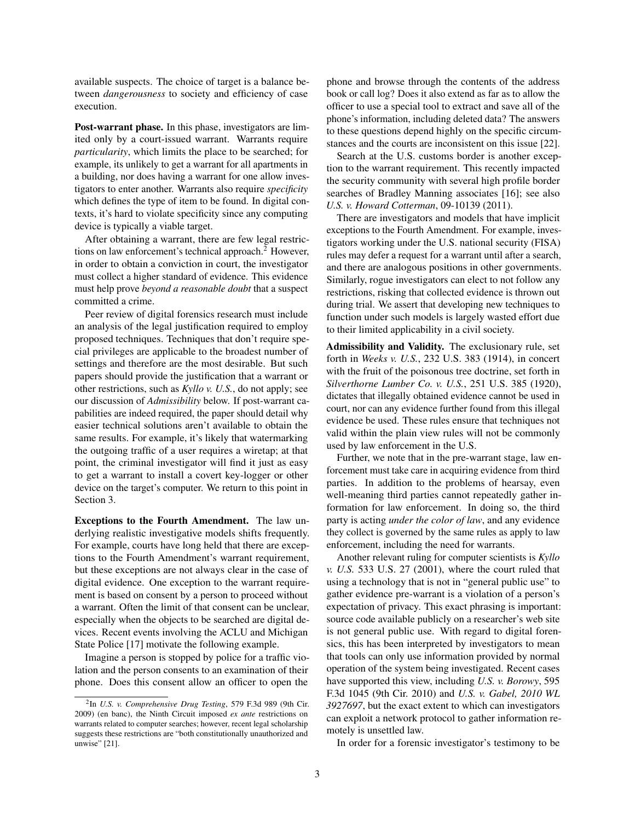available suspects. The choice of target is a balance between *dangerousness* to society and efficiency of case execution.

Post-warrant phase. In this phase, investigators are limited only by a court-issued warrant. Warrants require *particularity*, which limits the place to be searched; for example, its unlikely to get a warrant for all apartments in a building, nor does having a warrant for one allow investigators to enter another. Warrants also require *specificity* which defines the type of item to be found. In digital contexts, it's hard to violate specificity since any computing device is typically a viable target.

After obtaining a warrant, there are few legal restrictions on law enforcement's technical approach.<sup>2</sup> However, in order to obtain a conviction in court, the investigator must collect a higher standard of evidence. This evidence must help prove *beyond a reasonable doubt* that a suspect committed a crime.

Peer review of digital forensics research must include an analysis of the legal justification required to employ proposed techniques. Techniques that don't require special privileges are applicable to the broadest number of settings and therefore are the most desirable. But such papers should provide the justification that a warrant or other restrictions, such as *Kyllo v. U.S.*, do not apply; see our discussion of *Admissibility* below. If post-warrant capabilities are indeed required, the paper should detail why easier technical solutions aren't available to obtain the same results. For example, it's likely that watermarking the outgoing traffic of a user requires a wiretap; at that point, the criminal investigator will find it just as easy to get a warrant to install a covert key-logger or other device on the target's computer. We return to this point in Section 3.

Exceptions to the Fourth Amendment. The law underlying realistic investigative models shifts frequently. For example, courts have long held that there are exceptions to the Fourth Amendment's warrant requirement, but these exceptions are not always clear in the case of digital evidence. One exception to the warrant requirement is based on consent by a person to proceed without a warrant. Often the limit of that consent can be unclear, especially when the objects to be searched are digital devices. Recent events involving the ACLU and Michigan State Police [17] motivate the following example.

Imagine a person is stopped by police for a traffic violation and the person consents to an examination of their phone. Does this consent allow an officer to open the

phone and browse through the contents of the address book or call log? Does it also extend as far as to allow the officer to use a special tool to extract and save all of the phone's information, including deleted data? The answers to these questions depend highly on the specific circumstances and the courts are inconsistent on this issue [22].

Search at the U.S. customs border is another exception to the warrant requirement. This recently impacted the security community with several high profile border searches of Bradley Manning associates [16]; see also *U.S. v. Howard Cotterman*, 09-10139 (2011).

There are investigators and models that have implicit exceptions to the Fourth Amendment. For example, investigators working under the U.S. national security (FISA) rules may defer a request for a warrant until after a search, and there are analogous positions in other governments. Similarly, rogue investigators can elect to not follow any restrictions, risking that collected evidence is thrown out during trial. We assert that developing new techniques to function under such models is largely wasted effort due to their limited applicability in a civil society.

Admissibility and Validity. The exclusionary rule, set forth in *Weeks v. U.S.*, 232 U.S. 383 (1914), in concert with the fruit of the poisonous tree doctrine, set forth in *Silverthorne Lumber Co. v. U.S.*, 251 U.S. 385 (1920), dictates that illegally obtained evidence cannot be used in court, nor can any evidence further found from this illegal evidence be used. These rules ensure that techniques not valid within the plain view rules will not be commonly used by law enforcement in the U.S.

Further, we note that in the pre-warrant stage, law enforcement must take care in acquiring evidence from third parties. In addition to the problems of hearsay, even well-meaning third parties cannot repeatedly gather information for law enforcement. In doing so, the third party is acting *under the color of law*, and any evidence they collect is governed by the same rules as apply to law enforcement, including the need for warrants.

Another relevant ruling for computer scientists is *Kyllo v. U.S.* 533 U.S. 27 (2001), where the court ruled that using a technology that is not in "general public use" to gather evidence pre-warrant is a violation of a person's expectation of privacy. This exact phrasing is important: source code available publicly on a researcher's web site is not general public use. With regard to digital forensics, this has been interpreted by investigators to mean that tools can only use information provided by normal operation of the system being investigated. Recent cases have supported this view, including *U.S. v. Borowy*, 595 F.3d 1045 (9th Cir. 2010) and *U.S. v. Gabel, 2010 WL 3927697*, but the exact extent to which can investigators can exploit a network protocol to gather information remotely is unsettled law.

In order for a forensic investigator's testimony to be

<sup>2</sup> In *U.S. v. Comprehensive Drug Testing*, 579 F.3d 989 (9th Cir. 2009) (en banc), the Ninth Circuit imposed *ex ante* restrictions on warrants related to computer searches; however, recent legal scholarship suggests these restrictions are "both constitutionally unauthorized and unwise" [21].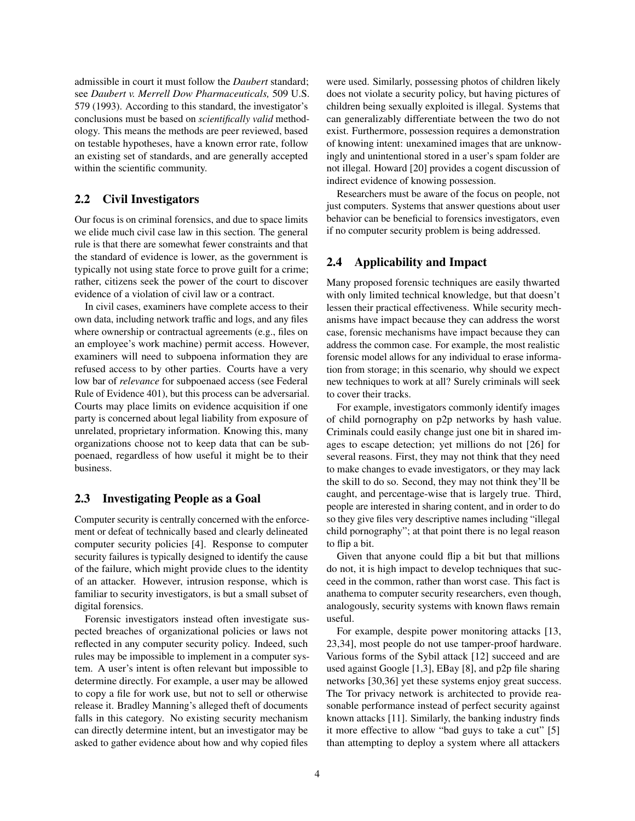admissible in court it must follow the *Daubert* standard; see *Daubert v. Merrell Dow Pharmaceuticals,* 509 U.S. 579 (1993). According to this standard, the investigator's conclusions must be based on *scientifically valid* methodology. This means the methods are peer reviewed, based on testable hypotheses, have a known error rate, follow an existing set of standards, and are generally accepted within the scientific community.

#### 2.2 Civil Investigators

Our focus is on criminal forensics, and due to space limits we elide much civil case law in this section. The general rule is that there are somewhat fewer constraints and that the standard of evidence is lower, as the government is typically not using state force to prove guilt for a crime; rather, citizens seek the power of the court to discover evidence of a violation of civil law or a contract.

In civil cases, examiners have complete access to their own data, including network traffic and logs, and any files where ownership or contractual agreements (e.g., files on an employee's work machine) permit access. However, examiners will need to subpoena information they are refused access to by other parties. Courts have a very low bar of *relevance* for subpoenaed access (see Federal Rule of Evidence 401), but this process can be adversarial. Courts may place limits on evidence acquisition if one party is concerned about legal liability from exposure of unrelated, proprietary information. Knowing this, many organizations choose not to keep data that can be subpoenaed, regardless of how useful it might be to their business.

#### 2.3 Investigating People as a Goal

Computer security is centrally concerned with the enforcement or defeat of technically based and clearly delineated computer security policies [4]. Response to computer security failures is typically designed to identify the cause of the failure, which might provide clues to the identity of an attacker. However, intrusion response, which is familiar to security investigators, is but a small subset of digital forensics.

Forensic investigators instead often investigate suspected breaches of organizational policies or laws not reflected in any computer security policy. Indeed, such rules may be impossible to implement in a computer system. A user's intent is often relevant but impossible to determine directly. For example, a user may be allowed to copy a file for work use, but not to sell or otherwise release it. Bradley Manning's alleged theft of documents falls in this category. No existing security mechanism can directly determine intent, but an investigator may be asked to gather evidence about how and why copied files

were used. Similarly, possessing photos of children likely does not violate a security policy, but having pictures of children being sexually exploited is illegal. Systems that can generalizably differentiate between the two do not exist. Furthermore, possession requires a demonstration of knowing intent: unexamined images that are unknowingly and unintentional stored in a user's spam folder are not illegal. Howard [20] provides a cogent discussion of indirect evidence of knowing possession.

Researchers must be aware of the focus on people, not just computers. Systems that answer questions about user behavior can be beneficial to forensics investigators, even if no computer security problem is being addressed.

### 2.4 Applicability and Impact

Many proposed forensic techniques are easily thwarted with only limited technical knowledge, but that doesn't lessen their practical effectiveness. While security mechanisms have impact because they can address the worst case, forensic mechanisms have impact because they can address the common case. For example, the most realistic forensic model allows for any individual to erase information from storage; in this scenario, why should we expect new techniques to work at all? Surely criminals will seek to cover their tracks.

For example, investigators commonly identify images of child pornography on p2p networks by hash value. Criminals could easily change just one bit in shared images to escape detection; yet millions do not [26] for several reasons. First, they may not think that they need to make changes to evade investigators, or they may lack the skill to do so. Second, they may not think they'll be caught, and percentage-wise that is largely true. Third, people are interested in sharing content, and in order to do so they give files very descriptive names including "illegal child pornography"; at that point there is no legal reason to flip a bit.

Given that anyone could flip a bit but that millions do not, it is high impact to develop techniques that succeed in the common, rather than worst case. This fact is anathema to computer security researchers, even though, analogously, security systems with known flaws remain useful.

For example, despite power monitoring attacks [13, 23,34], most people do not use tamper-proof hardware. Various forms of the Sybil attack [12] succeed and are used against Google [1,3], EBay [8], and p2p file sharing networks [30,36] yet these systems enjoy great success. The Tor privacy network is architected to provide reasonable performance instead of perfect security against known attacks [11]. Similarly, the banking industry finds it more effective to allow "bad guys to take a cut" [5] than attempting to deploy a system where all attackers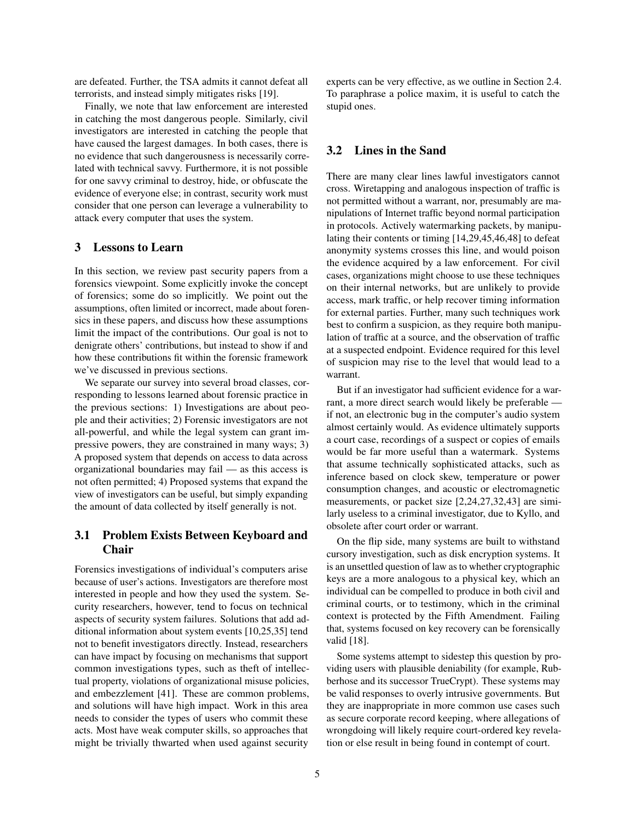are defeated. Further, the TSA admits it cannot defeat all terrorists, and instead simply mitigates risks [19].

Finally, we note that law enforcement are interested in catching the most dangerous people. Similarly, civil investigators are interested in catching the people that have caused the largest damages. In both cases, there is no evidence that such dangerousness is necessarily correlated with technical savvy. Furthermore, it is not possible for one savvy criminal to destroy, hide, or obfuscate the evidence of everyone else; in contrast, security work must consider that one person can leverage a vulnerability to attack every computer that uses the system.

#### 3 Lessons to Learn

In this section, we review past security papers from a forensics viewpoint. Some explicitly invoke the concept of forensics; some do so implicitly. We point out the assumptions, often limited or incorrect, made about forensics in these papers, and discuss how these assumptions limit the impact of the contributions. Our goal is not to denigrate others' contributions, but instead to show if and how these contributions fit within the forensic framework we've discussed in previous sections.

We separate our survey into several broad classes, corresponding to lessons learned about forensic practice in the previous sections: 1) Investigations are about people and their activities; 2) Forensic investigators are not all-powerful, and while the legal system can grant impressive powers, they are constrained in many ways; 3) A proposed system that depends on access to data across organizational boundaries may fail — as this access is not often permitted; 4) Proposed systems that expand the view of investigators can be useful, but simply expanding the amount of data collected by itself generally is not.

## 3.1 Problem Exists Between Keyboard and Chair

Forensics investigations of individual's computers arise because of user's actions. Investigators are therefore most interested in people and how they used the system. Security researchers, however, tend to focus on technical aspects of security system failures. Solutions that add additional information about system events [10,25,35] tend not to benefit investigators directly. Instead, researchers can have impact by focusing on mechanisms that support common investigations types, such as theft of intellectual property, violations of organizational misuse policies, and embezzlement [41]. These are common problems, and solutions will have high impact. Work in this area needs to consider the types of users who commit these acts. Most have weak computer skills, so approaches that might be trivially thwarted when used against security

experts can be very effective, as we outline in Section 2.4. To paraphrase a police maxim, it is useful to catch the stupid ones.

#### 3.2 Lines in the Sand

There are many clear lines lawful investigators cannot cross. Wiretapping and analogous inspection of traffic is not permitted without a warrant, nor, presumably are manipulations of Internet traffic beyond normal participation in protocols. Actively watermarking packets, by manipulating their contents or timing [14,29,45,46,48] to defeat anonymity systems crosses this line, and would poison the evidence acquired by a law enforcement. For civil cases, organizations might choose to use these techniques on their internal networks, but are unlikely to provide access, mark traffic, or help recover timing information for external parties. Further, many such techniques work best to confirm a suspicion, as they require both manipulation of traffic at a source, and the observation of traffic at a suspected endpoint. Evidence required for this level of suspicion may rise to the level that would lead to a warrant.

But if an investigator had sufficient evidence for a warrant, a more direct search would likely be preferable if not, an electronic bug in the computer's audio system almost certainly would. As evidence ultimately supports a court case, recordings of a suspect or copies of emails would be far more useful than a watermark. Systems that assume technically sophisticated attacks, such as inference based on clock skew, temperature or power consumption changes, and acoustic or electromagnetic measurements, or packet size [2,24,27,32,43] are similarly useless to a criminal investigator, due to Kyllo, and obsolete after court order or warrant.

On the flip side, many systems are built to withstand cursory investigation, such as disk encryption systems. It is an unsettled question of law as to whether cryptographic keys are a more analogous to a physical key, which an individual can be compelled to produce in both civil and criminal courts, or to testimony, which in the criminal context is protected by the Fifth Amendment. Failing that, systems focused on key recovery can be forensically valid [18].

Some systems attempt to sidestep this question by providing users with plausible deniability (for example, Rubberhose and its successor TrueCrypt). These systems may be valid responses to overly intrusive governments. But they are inappropriate in more common use cases such as secure corporate record keeping, where allegations of wrongdoing will likely require court-ordered key revelation or else result in being found in contempt of court.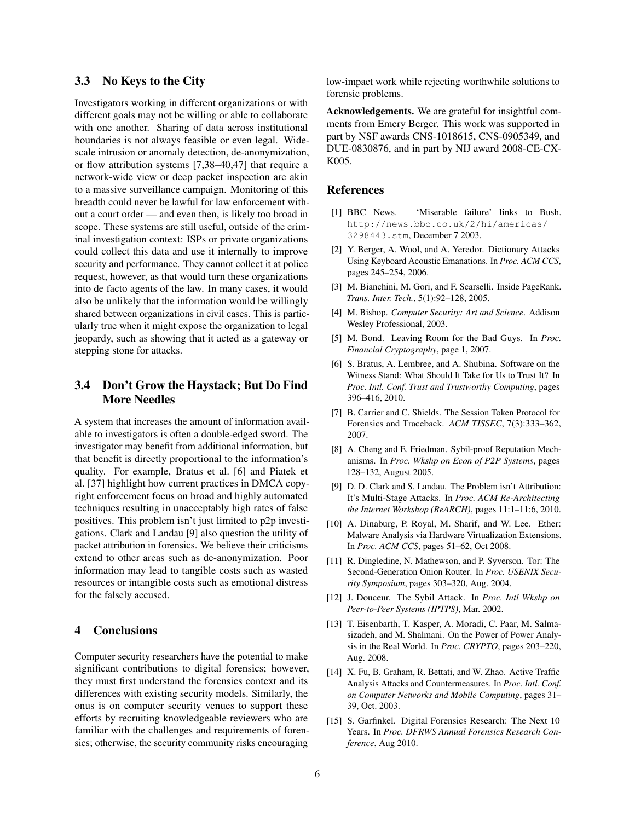### 3.3 No Keys to the City

Investigators working in different organizations or with different goals may not be willing or able to collaborate with one another. Sharing of data across institutional boundaries is not always feasible or even legal. Widescale intrusion or anomaly detection, de-anonymization, or flow attribution systems [7,38–40,47] that require a network-wide view or deep packet inspection are akin to a massive surveillance campaign. Monitoring of this breadth could never be lawful for law enforcement without a court order — and even then, is likely too broad in scope. These systems are still useful, outside of the criminal investigation context: ISPs or private organizations could collect this data and use it internally to improve security and performance. They cannot collect it at police request, however, as that would turn these organizations into de facto agents of the law. In many cases, it would also be unlikely that the information would be willingly shared between organizations in civil cases. This is particularly true when it might expose the organization to legal jeopardy, such as showing that it acted as a gateway or stepping stone for attacks.

### 3.4 Don't Grow the Haystack; But Do Find More Needles

A system that increases the amount of information available to investigators is often a double-edged sword. The investigator may benefit from additional information, but that benefit is directly proportional to the information's quality. For example, Bratus et al. [6] and Piatek et al. [37] highlight how current practices in DMCA copyright enforcement focus on broad and highly automated techniques resulting in unacceptably high rates of false positives. This problem isn't just limited to p2p investigations. Clark and Landau [9] also question the utility of packet attribution in forensics. We believe their criticisms extend to other areas such as de-anonymization. Poor information may lead to tangible costs such as wasted resources or intangible costs such as emotional distress for the falsely accused.

### 4 Conclusions

Computer security researchers have the potential to make significant contributions to digital forensics; however, they must first understand the forensics context and its differences with existing security models. Similarly, the onus is on computer security venues to support these efforts by recruiting knowledgeable reviewers who are familiar with the challenges and requirements of forensics; otherwise, the security community risks encouraging low-impact work while rejecting worthwhile solutions to forensic problems.

Acknowledgements. We are grateful for insightful comments from Emery Berger. This work was supported in part by NSF awards CNS-1018615, CNS-0905349, and DUE-0830876, and in part by NIJ award 2008-CE-CX-K005.

#### References

- [1] BBC News. 'Miserable failure' links to Bush. http://news.bbc.co.uk/2/hi/americas/ 3298443.stm, December 7 2003.
- [2] Y. Berger, A. Wool, and A. Yeredor. Dictionary Attacks Using Keyboard Acoustic Emanations. In *Proc. ACM CCS*, pages 245–254, 2006.
- [3] M. Bianchini, M. Gori, and F. Scarselli. Inside PageRank. *Trans. Inter. Tech.*, 5(1):92–128, 2005.
- [4] M. Bishop. *Computer Security: Art and Science*. Addison Wesley Professional, 2003.
- [5] M. Bond. Leaving Room for the Bad Guys. In *Proc. Financial Cryptography*, page 1, 2007.
- [6] S. Bratus, A. Lembree, and A. Shubina. Software on the Witness Stand: What Should It Take for Us to Trust It? In *Proc. Intl. Conf. Trust and Trustworthy Computing*, pages 396–416, 2010.
- [7] B. Carrier and C. Shields. The Session Token Protocol for Forensics and Traceback. *ACM TISSEC*, 7(3):333–362, 2007.
- [8] A. Cheng and E. Friedman. Sybil-proof Reputation Mechanisms. In *Proc. Wkshp on Econ of P2P Systems*, pages 128–132, August 2005.
- [9] D. D. Clark and S. Landau. The Problem isn't Attribution: It's Multi-Stage Attacks. In *Proc. ACM Re-Architecting the Internet Workshop (ReARCH)*, pages 11:1–11:6, 2010.
- [10] A. Dinaburg, P. Royal, M. Sharif, and W. Lee. Ether: Malware Analysis via Hardware Virtualization Extensions. In *Proc. ACM CCS*, pages 51–62, Oct 2008.
- [11] R. Dingledine, N. Mathewson, and P. Syverson. Tor: The Second-Generation Onion Router. In *Proc. USENIX Security Symposium*, pages 303–320, Aug. 2004.
- [12] J. Douceur. The Sybil Attack. In *Proc. Intl Wkshp on Peer-to-Peer Systems (IPTPS)*, Mar. 2002.
- [13] T. Eisenbarth, T. Kasper, A. Moradi, C. Paar, M. Salmasizadeh, and M. Shalmani. On the Power of Power Analysis in the Real World. In *Proc. CRYPTO*, pages 203–220, Aug. 2008.
- [14] X. Fu, B. Graham, R. Bettati, and W. Zhao. Active Traffic Analysis Attacks and Countermeasures. In *Proc. Intl. Conf. on Computer Networks and Mobile Computing*, pages 31– 39, Oct. 2003.
- [15] S. Garfinkel. Digital Forensics Research: The Next 10 Years. In *Proc. DFRWS Annual Forensics Research Conference*, Aug 2010.